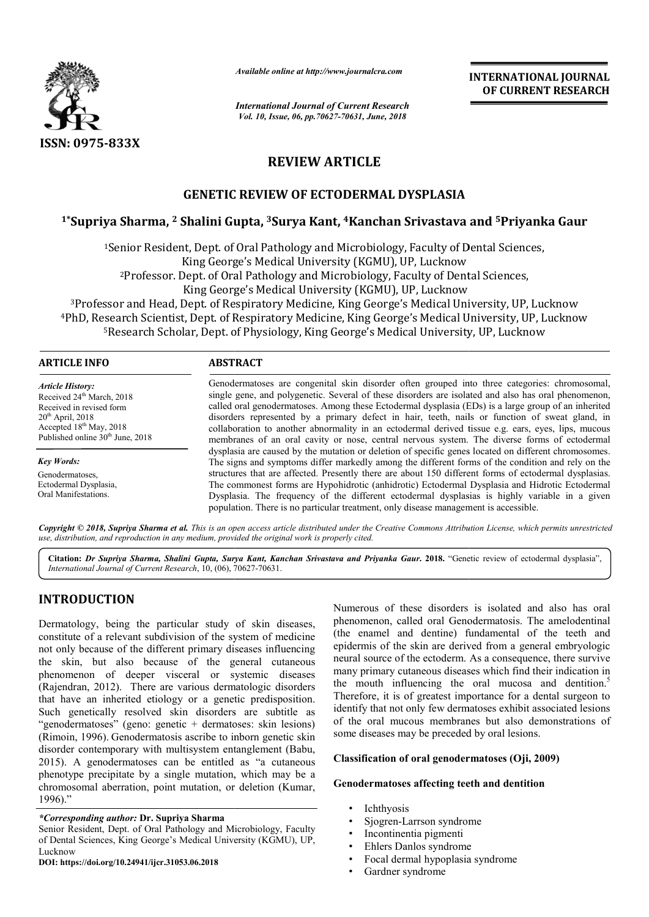

*Available online at http://www.journalcra.com*

# **REVIEW ARTICLE**

## **GENETIC REVIEW OF ECTODERMAL DYSPLASIA**

## **1\*Supriya Sharma, 2 Shalini Gupta, 3Surya Kant, 4Kanchan Srivastava and Kanchan and 5Priyanka Gaur**

|                                                                                                                                                                                                                                                                                                                                                                                                                                                                                                                                                                                                                                                                                                                                                                                                                                                                                                                               | Available online at http://www.journalcra.com                                                                                                                                                                                                                                                                                                                                                                                                                                                                                                                                                                                                                                                                                                                                                                                                                                                                                                                                                                                                                                                                                                                                                                                        |                                                                                                              | <b>INTERNATIONAL JOURNAL</b><br>OF CURRENT RESEARCH                                                                                                                                                                                                                                                                                                                                                                                                                                                                                                                                                                                                                                                             |
|-------------------------------------------------------------------------------------------------------------------------------------------------------------------------------------------------------------------------------------------------------------------------------------------------------------------------------------------------------------------------------------------------------------------------------------------------------------------------------------------------------------------------------------------------------------------------------------------------------------------------------------------------------------------------------------------------------------------------------------------------------------------------------------------------------------------------------------------------------------------------------------------------------------------------------|--------------------------------------------------------------------------------------------------------------------------------------------------------------------------------------------------------------------------------------------------------------------------------------------------------------------------------------------------------------------------------------------------------------------------------------------------------------------------------------------------------------------------------------------------------------------------------------------------------------------------------------------------------------------------------------------------------------------------------------------------------------------------------------------------------------------------------------------------------------------------------------------------------------------------------------------------------------------------------------------------------------------------------------------------------------------------------------------------------------------------------------------------------------------------------------------------------------------------------------|--------------------------------------------------------------------------------------------------------------|-----------------------------------------------------------------------------------------------------------------------------------------------------------------------------------------------------------------------------------------------------------------------------------------------------------------------------------------------------------------------------------------------------------------------------------------------------------------------------------------------------------------------------------------------------------------------------------------------------------------------------------------------------------------------------------------------------------------|
|                                                                                                                                                                                                                                                                                                                                                                                                                                                                                                                                                                                                                                                                                                                                                                                                                                                                                                                               | <b>International Journal of Current Research</b><br>Vol. 10, Issue, 06, pp. 70627-70631, June, 2018                                                                                                                                                                                                                                                                                                                                                                                                                                                                                                                                                                                                                                                                                                                                                                                                                                                                                                                                                                                                                                                                                                                                  |                                                                                                              |                                                                                                                                                                                                                                                                                                                                                                                                                                                                                                                                                                                                                                                                                                                 |
| <b>ISSN: 0975-833X</b>                                                                                                                                                                                                                                                                                                                                                                                                                                                                                                                                                                                                                                                                                                                                                                                                                                                                                                        |                                                                                                                                                                                                                                                                                                                                                                                                                                                                                                                                                                                                                                                                                                                                                                                                                                                                                                                                                                                                                                                                                                                                                                                                                                      |                                                                                                              |                                                                                                                                                                                                                                                                                                                                                                                                                                                                                                                                                                                                                                                                                                                 |
|                                                                                                                                                                                                                                                                                                                                                                                                                                                                                                                                                                                                                                                                                                                                                                                                                                                                                                                               |                                                                                                                                                                                                                                                                                                                                                                                                                                                                                                                                                                                                                                                                                                                                                                                                                                                                                                                                                                                                                                                                                                                                                                                                                                      | <b>REVIEW ARTICLE</b>                                                                                        |                                                                                                                                                                                                                                                                                                                                                                                                                                                                                                                                                                                                                                                                                                                 |
|                                                                                                                                                                                                                                                                                                                                                                                                                                                                                                                                                                                                                                                                                                                                                                                                                                                                                                                               | <b>GENETIC REVIEW OF ECTODERMAL DYSPLASIA</b>                                                                                                                                                                                                                                                                                                                                                                                                                                                                                                                                                                                                                                                                                                                                                                                                                                                                                                                                                                                                                                                                                                                                                                                        |                                                                                                              |                                                                                                                                                                                                                                                                                                                                                                                                                                                                                                                                                                                                                                                                                                                 |
|                                                                                                                                                                                                                                                                                                                                                                                                                                                                                                                                                                                                                                                                                                                                                                                                                                                                                                                               |                                                                                                                                                                                                                                                                                                                                                                                                                                                                                                                                                                                                                                                                                                                                                                                                                                                                                                                                                                                                                                                                                                                                                                                                                                      |                                                                                                              | <sup>1</sup> *Supriya Sharma, <sup>2</sup> Shalini Gupta, <sup>3</sup> Surya Kant, <sup>4</sup> Kanchan Srivastava and <sup>5</sup> Priyanka Gaur                                                                                                                                                                                                                                                                                                                                                                                                                                                                                                                                                               |
|                                                                                                                                                                                                                                                                                                                                                                                                                                                                                                                                                                                                                                                                                                                                                                                                                                                                                                                               | <sup>1</sup> Senior Resident, Dept. of Oral Pathology and Microbiology, Faculty of Dental Sciences,<br>King George's Medical University (KGMU), UP, Lucknow<br><sup>2</sup> Professor. Dept. of Oral Pathology and Microbiology, Faculty of Dental Sciences,<br>King George's Medical University (KGMU), UP, Lucknow<br><sup>3</sup> Professor and Head, Dept. of Respiratory Medicine, King George's Medical University, UP, Lucknow<br><sup>5</sup> Research Scholar, Dept. of Physiology, King George's Medical University, UP, Lucknow                                                                                                                                                                                                                                                                                                                                                                                                                                                                                                                                                                                                                                                                                           |                                                                                                              | <sup>4</sup> PhD, Research Scientist, Dept. of Respiratory Medicine, King George's Medical University, UP, Lucknow                                                                                                                                                                                                                                                                                                                                                                                                                                                                                                                                                                                              |
| <b>ARTICLE INFO</b>                                                                                                                                                                                                                                                                                                                                                                                                                                                                                                                                                                                                                                                                                                                                                                                                                                                                                                           | <b>ABSTRACT</b>                                                                                                                                                                                                                                                                                                                                                                                                                                                                                                                                                                                                                                                                                                                                                                                                                                                                                                                                                                                                                                                                                                                                                                                                                      |                                                                                                              |                                                                                                                                                                                                                                                                                                                                                                                                                                                                                                                                                                                                                                                                                                                 |
| <b>Article History:</b><br>Received 24 <sup>th</sup> March, 2018<br>Received in revised form<br>$20th$ April, 2018<br>Accepted 18 <sup>th</sup> May, 2018<br>Published online 30 <sup>th</sup> June, 2018<br><b>Key Words:</b><br>Genodermatoses,<br>Ectodermal Dysplasia,<br>Oral Manifestations.                                                                                                                                                                                                                                                                                                                                                                                                                                                                                                                                                                                                                            | Genodermatoses are congenital skin disorder often grouped into three categories: chromosomal,<br>single gene, and polygenetic. Several of these disorders are isolated and also has oral phenomenon,<br>called oral genodermatoses. Among these Ectodermal dysplasia (EDs) is a large group of an inherited<br>disorders represented by a primary defect in hair, teeth, nails or function of sweat gland, in<br>collaboration to another abnormality in an ectodermal derived tissue e.g. ears, eyes, lips, mucous<br>membranes of an oral cavity or nose, central nervous system. The diverse forms of ectodermal<br>dysplasia are caused by the mutation or deletion of specific genes located on different chromosomes.<br>The signs and symptoms differ markedly among the different forms of the condition and rely on the<br>structures that are affected. Presently there are about 150 different forms of ectodermal dysplasias.<br>The commonest forms are Hypohidrotic (anhidrotic) Ectodermal Dysplasia and Hidrotic Ectodermal<br>Dysplasia. The frequency of the different ectodermal dysplasias is highly variable in a given<br>population. There is no particular treatment, only disease management is accessible. |                                                                                                              |                                                                                                                                                                                                                                                                                                                                                                                                                                                                                                                                                                                                                                                                                                                 |
|                                                                                                                                                                                                                                                                                                                                                                                                                                                                                                                                                                                                                                                                                                                                                                                                                                                                                                                               | use, distribution, and reproduction in any medium, provided the original work is properly cited.                                                                                                                                                                                                                                                                                                                                                                                                                                                                                                                                                                                                                                                                                                                                                                                                                                                                                                                                                                                                                                                                                                                                     |                                                                                                              | Copyright © 2018, Supriya Sharma et al. This is an open access article distributed under the Creative Commons Attribution License, which permits unrestricted                                                                                                                                                                                                                                                                                                                                                                                                                                                                                                                                                   |
| International Journal of Current Research, 10, (06), 70627-70631.                                                                                                                                                                                                                                                                                                                                                                                                                                                                                                                                                                                                                                                                                                                                                                                                                                                             |                                                                                                                                                                                                                                                                                                                                                                                                                                                                                                                                                                                                                                                                                                                                                                                                                                                                                                                                                                                                                                                                                                                                                                                                                                      |                                                                                                              | Citation: Dr Supriya Sharma, Shalini Gupta, Surya Kant, Kanchan Srivastava and Priyanka Gaur. 2018. "Genetic review of ectodermal dysplasia",                                                                                                                                                                                                                                                                                                                                                                                                                                                                                                                                                                   |
| <b>INTRODUCTION</b><br>Dermatology, being the particular study of skin diseases,<br>constitute of a relevant subdivision of the system of medicine<br>not only because of the different primary diseases influencing<br>the skin, but also because of the general cutaneous<br>phenomenon of deeper visceral or systemic diseases<br>(Rajendran, 2012). There are various dermatologic disorders<br>that have an inherited etiology or a genetic predisposition.<br>Such genetically resolved skin disorders are subtitle as<br>"genodermatoses" (geno: genetic + dermatoses: skin lesions)<br>(Rimoin, 1996). Genodermatosis ascribe to inborn genetic skin<br>disorder contemporary with multisystem entanglement (Babu,<br>2015). A genodermatoses can be entitled as "a cutaneous<br>phenotype precipitate by a single mutation, which may be a<br>chromosomal aberration, point mutation, or deletion (Kumar,<br>1996)." |                                                                                                                                                                                                                                                                                                                                                                                                                                                                                                                                                                                                                                                                                                                                                                                                                                                                                                                                                                                                                                                                                                                                                                                                                                      | some diseases may be preceded by oral lesions.<br>Genodermatoses affecting teeth and dentition<br>Ichthyosis | Numerous of these disorders is isolated and also has oral<br>phenomenon, called oral Genodermatosis. The amelodentinal<br>(the enamel and dentine) fundamental of the teeth and<br>epidermis of the skin are derived from a general embryologic<br>neural source of the ectoderm. As a consequence, there survive<br>many primary cutaneous diseases which find their indication in<br>the mouth influencing the oral mucosa and dentition. <sup>5</sup><br>Therefore, it is of greatest importance for a dental surgeon to<br>identify that not only few dermatoses exhibit associated lesions<br>of the oral mucous membranes but also demonstrations of<br>Classification of oral genodermatoses (Oji, 2009) |
| *Corresponding author: Dr. Supriya Sharma                                                                                                                                                                                                                                                                                                                                                                                                                                                                                                                                                                                                                                                                                                                                                                                                                                                                                     |                                                                                                                                                                                                                                                                                                                                                                                                                                                                                                                                                                                                                                                                                                                                                                                                                                                                                                                                                                                                                                                                                                                                                                                                                                      | Sjogren-Larrson syndrome                                                                                     |                                                                                                                                                                                                                                                                                                                                                                                                                                                                                                                                                                                                                                                                                                                 |

## **INTRODUCTION**

### *\*Corresponding author:* **Dr. Supriya Sharma**

Senior Resident, Dept. of Oral Pathology and Microbiology, Faculty of Dental Sciences, King George's Medical University (KGMU), UP, Lucknow

**DOI: https://doi.org/10.24941/ijcr.31053.06.2018**

### **Classification of oral genodermatoses (Oji, 2009)**

### **Genodermatoses affecting teeth and dentition teeth**

- **Ichthyosis**
- Sjogren-Larrson syndrome
- Incontinentia pigmenti
- Ehlers Danlos syndrome
- Focal dermal hypoplasia syndrome
- Gardner syndrome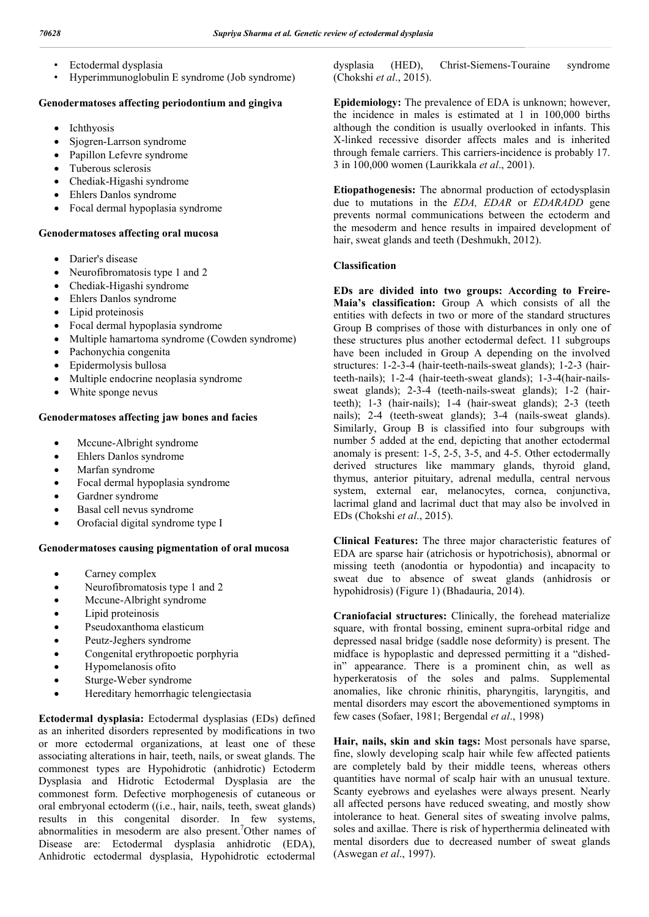- Ectodermal dysplasia
- Hyperimmunoglobulin E syndrome (Job syndrome)

### **Genodermatoses affecting periodontium and gingiva**

- Ichthyosis
- Sjogren-Larrson syndrome
- Papillon Lefevre syndrome
- Tuberous sclerosis
- Chediak-Higashi syndrome
- Ehlers Danlos syndrome
- Focal dermal hypoplasia syndrome

#### **Genodermatoses affecting oral mucosa**

- Darier's disease
- Neurofibromatosis type 1 and 2
- Chediak-Higashi syndrome
- Ehlers Danlos syndrome
- Lipid proteinosis
- Focal dermal hypoplasia syndrome
- Multiple hamartoma syndrome (Cowden syndrome)
- Pachonychia congenita
- Epidermolysis bullosa
- Multiple endocrine neoplasia syndrome
- White sponge nevus

#### **Genodermatoses affecting jaw bones and facies**

- Mccune-Albright syndrome
- Ehlers Danlos syndrome
- Marfan syndrome
- Focal dermal hypoplasia syndrome
- Gardner syndrome
- Basal cell nevus syndrome
- Orofacial digital syndrome type I

#### **Genodermatoses causing pigmentation of oral mucosa**

- Carney complex
- Neurofibromatosis type 1 and 2
- Mccune-Albright syndrome
- Lipid proteinosis
- Pseudoxanthoma elasticum
- Peutz-Jeghers syndrome
- Congenital erythropoetic porphyria
- Hypomelanosis ofito
- Sturge-Weber syndrome
- Hereditary hemorrhagic telengiectasia

**Ectodermal dysplasia:** Ectodermal dysplasias (EDs) defined as an inherited disorders represented by modifications in two or more ectodermal organizations, at least one of these associating alterations in hair, teeth, nails, or sweat glands. The commonest types are Hypohidrotic (anhidrotic) Ectoderm Dysplasia and Hidrotic Ectodermal Dysplasia are the commonest form. Defective morphogenesis of cutaneous or oral embryonal ectoderm ((i.e., hair, nails, teeth, sweat glands) results in this congenital disorder. In few systems, abnormalities in mesoderm are also present.<sup>7</sup>Other names of Disease are: Ectodermal dysplasia anhidrotic (EDA), Anhidrotic ectodermal dysplasia, Hypohidrotic ectodermal

dysplasia (HED), Christ-Siemens-Touraine syndrome (Chokshi *et al*., 2015).

**Epidemiology:** The prevalence of EDA is unknown; however, the incidence in males is estimated at 1 in 100,000 births although the condition is usually overlooked in infants. This X-linked recessive disorder affects males and is inherited through female carriers. This carriers-incidence is probably 17. 3 in 100,000 women (Laurikkala *et al*., 2001).

**Etiopathogenesis:** The abnormal production of ectodysplasin due to mutations in the *EDA, EDAR* or *EDARADD* gene prevents normal communications between the ectoderm and the mesoderm and hence results in impaired development of hair, sweat glands and teeth (Deshmukh, 2012).

#### **Classification**

**EDs are divided into two groups: According to Freire-Maia's classification:** Group A which consists of all the entities with defects in two or more of the standard structures Group B comprises of those with disturbances in only one of these structures plus another ectodermal defect. 11 subgroups have been included in Group A depending on the involved structures: 1-2-3-4 (hair-teeth-nails-sweat glands); 1-2-3 (hairteeth-nails); 1-2-4 (hair-teeth-sweat glands); 1-3-4(hair-nailssweat glands); 2-3-4 (teeth-nails-sweat glands); 1-2 (hairteeth); 1-3 (hair-nails); 1-4 (hair-sweat glands); 2-3 (teeth nails); 2-4 (teeth-sweat glands); 3-4 (nails-sweat glands). Similarly, Group B is classified into four subgroups with number 5 added at the end, depicting that another ectodermal anomaly is present: 1-5, 2-5, 3-5, and 4-5. Other ectodermally derived structures like mammary glands, thyroid gland, thymus, anterior pituitary, adrenal medulla, central nervous system, external ear, melanocytes, cornea, conjunctiva, lacrimal gland and lacrimal duct that may also be involved in EDs (Chokshi *et al*., 2015).

**Clinical Features:** The three major characteristic features of EDA are sparse hair (atrichosis or hypotrichosis), abnormal or missing teeth (anodontia or hypodontia) and incapacity to sweat due to absence of sweat glands (anhidrosis or hypohidrosis) (Figure 1) (Bhadauria, 2014).

**Craniofacial structures:** Clinically, the forehead materialize square, with frontal bossing, eminent supra-orbital ridge and depressed nasal bridge (saddle nose deformity) is present. The midface is hypoplastic and depressed permitting it a "dishedin" appearance. There is a prominent chin, as well as hyperkeratosis of the soles and palms. Supplemental anomalies, like chronic rhinitis, pharyngitis, laryngitis, and mental disorders may escort the abovementioned symptoms in few cases (Sofaer, 1981; Bergendal *et al*., 1998)

**Hair, nails, skin and skin tags:** Most personals have sparse, fine, slowly developing scalp hair while few affected patients are completely bald by their middle teens, whereas others quantities have normal of scalp hair with an unusual texture. Scanty eyebrows and eyelashes were always present. Nearly all affected persons have reduced sweating, and mostly show intolerance to heat. General sites of sweating involve palms, soles and axillae. There is risk of hyperthermia delineated with mental disorders due to decreased number of sweat glands (Aswegan *et al*., 1997).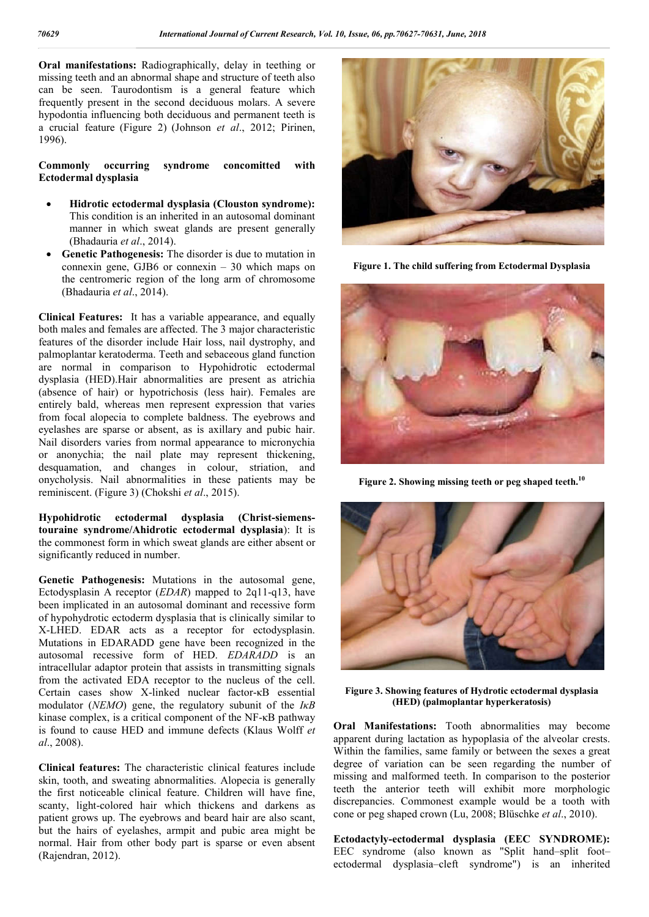**Oral manifestations:** Radiographically, delay in teething or missing teeth and an abnormal shape and structure of teeth also can be seen. Taurodontism is a general feature which frequently present in the second deciduous molars. A severe hypodontia influencing both deciduous and permanent teeth is a crucial feature (Figure 2) (Johnson *et al*., 2012; Pirinen, 1996).

#### **Commonly occurring syndrome concomitted with Ectodermal dysplasia**

- **Hidrotic ectodermal dysplasia (Clouston syndrome):**  This condition is an inherited in an autosomal dominant manner in which sweat glands are present generally (Bhadauria *et al*., 2014).
- **Genetic Pathogenesis:** The disorder is due to mutation in connexin gene, GJB6 or connexin – 30 which maps on the centromeric region of the long arm of chromosome (Bhadauria *et al*., 2014).

**Clinical Features:** It has a variable appearance, and equally both males and females are affected. The 3 major characteristic features of the disorder include Hair loss, nail dystrophy, and palmoplantar keratoderma. Teeth and sebaceous gland function are normal in comparison to Hypohidrotic ectodermal dysplasia (HED).Hair abnormalities are present as atrichia (absence of hair) or hypotrichosis (less hair). Females are entirely bald, whereas men represent expression that varies from focal alopecia to complete baldness. The eyebrows and eyelashes are sparse or absent, as is axillary and pubic hair. Nail disorders varies from normal appearance to micronychia or anonychia; the nail plate may represent thickening, desquamation, and changes in colour, striation, and onycholysis. Nail abnormalities in these patients may be reminiscent. (Figure 3) (Chokshi *et al*., 2015).

**Hypohidrotic ectodermal dysplasia (Christ-siemenstouraine syndrome/Ahidrotic ectodermal dysplasia**): It is the commonest form in which sweat glands are either absent or significantly reduced in number.

**Genetic Pathogenesis:** Mutations in the autosomal gene, Ectodysplasin A receptor (*EDAR*) mapped to 2q11-q13, have been implicated in an autosomal dominant and recessive form of hypohydrotic ectoderm dysplasia that is clinically similar to X-LHED. EDAR acts as a receptor for ectodysplasin. Mutations in EDARADD gene have been recognized in the autosomal recessive form of HED. *EDARADD* is an intracellular adaptor protein that assists in transmitting signals from the activated EDA receptor to the nucleus of the cell. Certain cases show X-linked nuclear factor-κB essential modulator (*NEMO*) gene, the regulatory subunit of the *IκB* kinase complex, is a critical component of the NF-κB pathway is found to cause HED and immune defects (Klaus Wolff *et al*., 2008).

**Clinical features:** The characteristic clinical features include skin, tooth, and sweating abnormalities. Alopecia is generally the first noticeable clinical feature. Children will have fine, scanty, light-colored hair which thickens and darkens as patient grows up. The eyebrows and beard hair are also scant, but the hairs of eyelashes, armpit and pubic area might be normal. Hair from other body part is sparse or even absent (Rajendran, 2012).



**Figure 1. The child suffering from Ectodermal Dysplasia**



**Figure 2. Showing missing teeth or peg shaped teeth.<sup>10</sup>**



**Figure 3. Showing features of Hydrotic ectodermal dysplasia (HED) (palmoplantar hyperkeratosis)**

**Oral Manifestations:** Tooth abnormalities may become apparent during lactation as hypoplasia of the alveolar crests. Within the families, same family or between the sexes a great degree of variation can be seen regarding the number of missing and malformed teeth. In comparison to the posterior teeth the anterior teeth will exhibit more morphologic discrepancies. Commonest example would be a tooth with cone or peg shaped crown (Lu, 2008; Blüschke *et al*., 2010).

**Ectodactyly-ectodermal dysplasia (EEC SYNDROME):**  EEC syndrome (also known as "Split hand–split foot– ectodermal dysplasia–cleft syndrome") is an inherited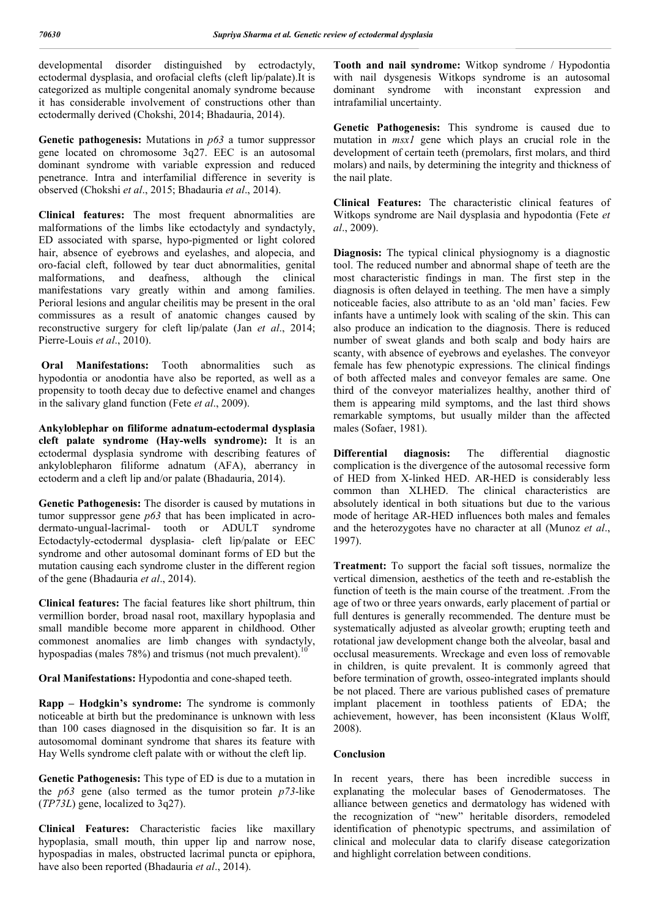developmental disorder distinguished by ectrodactyly, ectodermal dysplasia, and orofacial clefts (cleft lip/palate).It is categorized as multiple congenital anomaly syndrome because it has considerable involvement of constructions other than ectodermally derived (Chokshi, 2014; Bhadauria, 2014).

**Genetic pathogenesis:** Mutations in *p63* a tumor suppressor gene located on chromosome 3q27. EEC is an autosomal dominant syndrome with variable expression and reduced penetrance. Intra and interfamilial difference in severity is observed (Chokshi *et al*., 2015; Bhadauria *et al*., 2014).

**Clinical features:** The most frequent abnormalities are malformations of the limbs like ectodactyly and syndactyly, ED associated with sparse, hypo-pigmented or light colored hair, absence of eyebrows and eyelashes, and alopecia, and oro-facial cleft, followed by tear duct abnormalities, genital malformations, and deafness, although the clinical manifestations vary greatly within and among families. Perioral lesions and angular cheilitis may be present in the oral commissures as a result of anatomic changes caused by reconstructive surgery for cleft lip/palate (Jan *et al*., 2014; Pierre-Louis *et al*., 2010).

**Oral Manifestations:** Tooth abnormalities such as hypodontia or anodontia have also be reported, as well as a propensity to tooth decay due to defective enamel and changes in the salivary gland function (Fete *et al*., 2009).

**Ankyloblephar on filiforme adnatum-ectodermal dysplasia cleft palate syndrome (Hay-wells syndrome):** It is an ectodermal dysplasia syndrome with describing features of ankyloblepharon filiforme adnatum (AFA), aberrancy in ectoderm and a cleft lip and/or palate (Bhadauria, 2014).

**Genetic Pathogenesis:** The disorder is caused by mutations in tumor suppressor gene *p63* that has been implicated in acrodermato-ungual-lacrimal- tooth or ADULT syndrome Ectodactyly-ectodermal dysplasia- cleft lip/palate or EEC syndrome and other autosomal dominant forms of ED but the mutation causing each syndrome cluster in the different region of the gene (Bhadauria *et al*., 2014).

**Clinical features:** The facial features like short philtrum, thin vermillion border, broad nasal root, maxillary hypoplasia and small mandible become more apparent in childhood. Other commonest anomalies are limb changes with syndactyly, hypospadias (males 78%) and trismus (not much prevalent).<sup>1</sup>

**Oral Manifestations:** Hypodontia and cone-shaped teeth.

**Rapp – Hodgkin's syndrome:** The syndrome is commonly noticeable at birth but the predominance is unknown with less than 100 cases diagnosed in the disquisition so far. It is an autosomomal dominant syndrome that shares its feature with Hay Wells syndrome cleft palate with or without the cleft lip.

**Genetic Pathogenesis:** This type of ED is due to a mutation in the *p63* gene (also termed as the tumor protein *p73*-like (*TP73L*) gene, localized to 3q27).

**Clinical Features:** Characteristic facies like maxillary hypoplasia, small mouth, thin upper lip and narrow nose, hypospadias in males, obstructed lacrimal puncta or epiphora, have also been reported (Bhadauria *et al*., 2014).

**Tooth and nail syndrome:** Witkop syndrome / Hypodontia with nail dysgenesis Witkops syndrome is an autosomal dominant syndrome with inconstant expression and intrafamilial uncertainty.

**Genetic Pathogenesis:** This syndrome is caused due to mutation in *msx1* gene which plays an crucial role in the development of certain teeth (premolars, first molars, and third molars) and nails, by determining the integrity and thickness of the nail plate.

**Clinical Features:** The characteristic clinical features of Witkops syndrome are Nail dysplasia and hypodontia (Fete *et al*., 2009).

**Diagnosis:** The typical clinical physiognomy is a diagnostic tool. The reduced number and abnormal shape of teeth are the most characteristic findings in man. The first step in the diagnosis is often delayed in teething. The men have a simply noticeable facies, also attribute to as an 'old man' facies. Few infants have a untimely look with scaling of the skin. This can also produce an indication to the diagnosis. There is reduced number of sweat glands and both scalp and body hairs are scanty, with absence of eyebrows and eyelashes. The conveyor female has few phenotypic expressions. The clinical findings of both affected males and conveyor females are same. One third of the conveyor materializes healthy, another third of them is appearing mild symptoms, and the last third shows remarkable symptoms, but usually milder than the affected males (Sofaer, 1981).

**Differential diagnosis:** The differential diagnostic complication is the divergence of the autosomal recessive form of HED from X-linked HED. AR-HED is considerably less common than XLHED. The clinical characteristics are absolutely identical in both situations but due to the various mode of heritage AR-HED influences both males and females and the heterozygotes have no character at all (Munoz *et al*., 1997).

**Treatment:** To support the facial soft tissues, normalize the vertical dimension, aesthetics of the teeth and re-establish the function of teeth is the main course of the treatment. .From the age of two or three years onwards, early placement of partial or full dentures is generally recommended. The denture must be systematically adjusted as alveolar growth; erupting teeth and rotational jaw development change both the alveolar, basal and occlusal measurements. Wreckage and even loss of removable in children, is quite prevalent. It is commonly agreed that before termination of growth, osseo-integrated implants should be not placed. There are various published cases of premature implant placement in toothless patients of EDA; the achievement, however, has been inconsistent (Klaus Wolff, 2008).

#### **Conclusion**

In recent years, there has been incredible success in explanating the molecular bases of Genodermatoses. The alliance between genetics and dermatology has widened with the recognization of "new" heritable disorders, remodeled identification of phenotypic spectrums, and assimilation of clinical and molecular data to clarify disease categorization and highlight correlation between conditions.